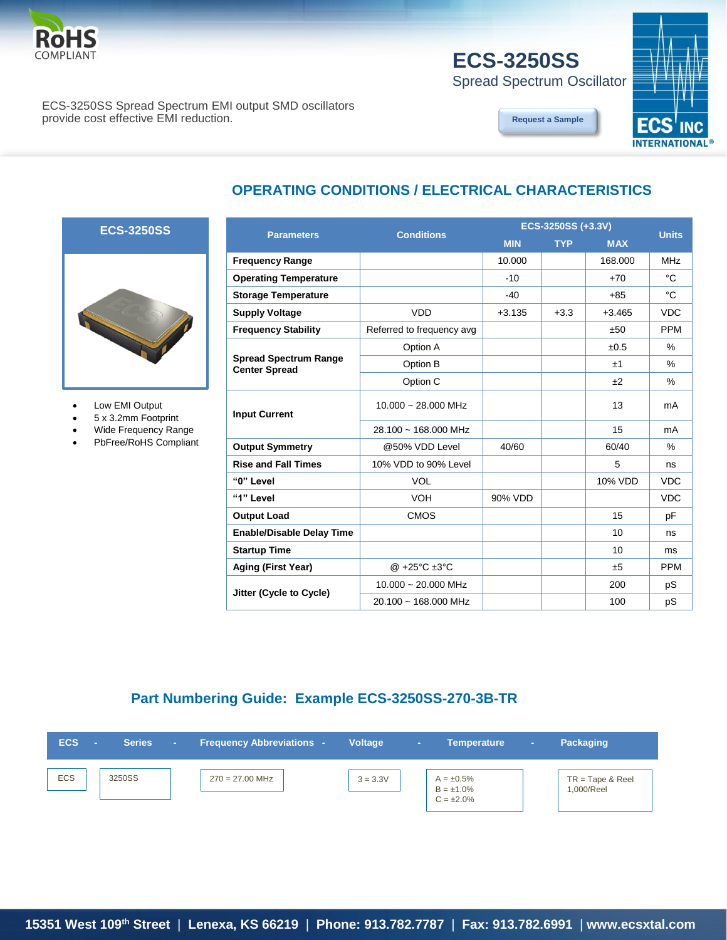

# **ECS-3250SS**

Spread Spectrum Oscillator

#### ECS-3250SS Spread Spectrum EMI output SMD oscillators provide cost effective EMI reduction.

#### **[Request a Sample](http://ecsxtalportal.com/samplepilot/samplerequest.php)**



## **OPERATING CONDITIONS / ELECTRICAL CHARACTERISTICS**

#### **ECS-3250SS**

 $\overline{1}$ 



- Low EMI Output
- 5 x 3.2mm Footprint
- Wide Frequency Range
- PbFree/RoHS Compliant

|                                                      |                                   | ECS-3250SS (+3.3V) | <b>Units</b> |            |               |  |
|------------------------------------------------------|-----------------------------------|--------------------|--------------|------------|---------------|--|
| <b>Parameters</b>                                    | <b>Conditions</b>                 | <b>MIN</b>         | <b>TYP</b>   | <b>MAX</b> |               |  |
| <b>Frequency Range</b>                               |                                   | 10.000             |              | 168,000    | <b>MHz</b>    |  |
| <b>Operating Temperature</b>                         |                                   | $-10$              |              | $+70$      | °C            |  |
| <b>Storage Temperature</b>                           |                                   | $-40$              |              | $+85$      | °C            |  |
| <b>Supply Voltage</b>                                | <b>VDD</b>                        | $+3.135$           | $+3.3$       | $+3.465$   | <b>VDC</b>    |  |
| <b>Frequency Stability</b>                           | Referred to frequency avg         |                    |              | ±50        | <b>PPM</b>    |  |
|                                                      | Option A                          |                    |              | ±0.5       | %             |  |
| <b>Spread Spectrum Range</b><br><b>Center Spread</b> | Option B                          |                    |              | ±1         | $\frac{0}{0}$ |  |
|                                                      | Option C                          |                    |              | ±2         | $\%$          |  |
| <b>Input Current</b>                                 | $10.000 \sim 28.000$ MHz          |                    |              | 13         | mA            |  |
|                                                      | $28.100 \sim 168.000 \text{ MHz}$ |                    |              | 15         | mA            |  |
| <b>Output Symmetry</b>                               | @50% VDD Level                    | 40/60              |              | 60/40      | $\frac{0}{0}$ |  |
| <b>Rise and Fall Times</b>                           | 10% VDD to 90% Level              |                    |              | 5          | ns            |  |
| "0" Level                                            | <b>VOL</b>                        |                    |              | 10% VDD    | <b>VDC</b>    |  |
| "1" Level                                            | <b>VOH</b>                        | 90% VDD            |              |            | <b>VDC</b>    |  |
| <b>Output Load</b>                                   | <b>CMOS</b>                       |                    |              | 15         | pF            |  |
| <b>Enable/Disable Delay Time</b>                     |                                   |                    |              | 10         | ns            |  |
| <b>Startup Time</b>                                  |                                   |                    |              | 10         | ms            |  |
| Aging (First Year)                                   | @ +25°C ±3°C                      |                    |              | ±5         | <b>PPM</b>    |  |
|                                                      | $10.000 \sim 20.000$ MHz          |                    |              | 200        | pS            |  |
| Jitter (Cycle to Cycle)                              | $20.100 \sim 168.000$ MHz         |                    |              | 100        | pS            |  |

### **Part Numbering Guide: Example ECS-3250SS-270-3B-TR**

| <b>ECS</b> | <b>Series</b><br>7 - 7 | <b>Frequency Abbreviations -</b> | <b>Voltage</b> | <b>Temperature</b><br>$\sim$                          | $\sim$ | <b>Packaging</b>                 |
|------------|------------------------|----------------------------------|----------------|-------------------------------------------------------|--------|----------------------------------|
| <b>ECS</b> | 3250SS                 | $270 = 27.00$ MHz                | $3 = 3.3V$     | $A = \pm 0.5\%$<br>$B = \pm 1.0\%$<br>$C = \pm 2.0\%$ |        | $TR = Tape & Reel$<br>1,000/Reel |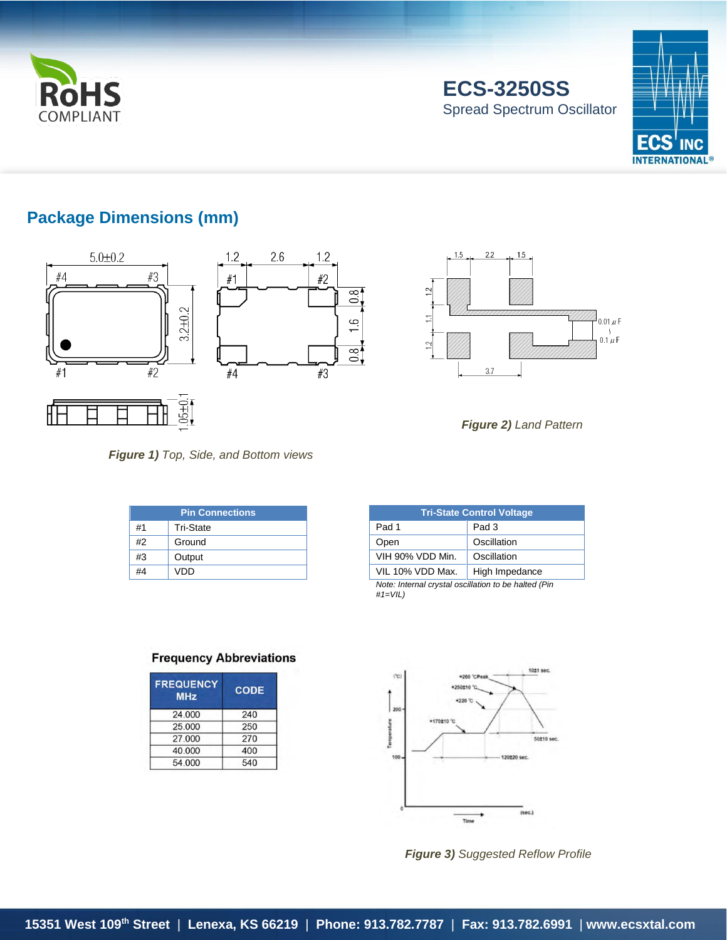

**ECS-3250SS** Spread Spectrum Oscillator



## **Package Dimensions (mm)**







 $1.5$ 

*Figure 2) Land Pattern*

*Figure 1) Top, Side, and Bottom views*

| <b>Pin Connections</b> |                  |  |  |  |  |  |
|------------------------|------------------|--|--|--|--|--|
| #1                     | <b>Tri-State</b> |  |  |  |  |  |
| #2                     | Ground           |  |  |  |  |  |
| #3                     | Output           |  |  |  |  |  |
| #4                     | VDD              |  |  |  |  |  |

| <b>Tri-State Control Voltage</b>                                   |                |  |  |  |  |
|--------------------------------------------------------------------|----------------|--|--|--|--|
| Pad 1                                                              | Pad 3          |  |  |  |  |
| Open                                                               | Oscillation    |  |  |  |  |
| VIH 90% VDD Min.                                                   | Oscillation    |  |  |  |  |
| VIL 10% VDD Max.                                                   | High Impedance |  |  |  |  |
| Note: Internal crystal oscillation to be halted (Pin<br>$#1=VIL$ ) |                |  |  |  |  |

#### **Frequency Abbreviations**

| <b>CODE</b> |
|-------------|
| 240         |
| 250         |
| 270         |
| 400         |
| 540         |
|             |